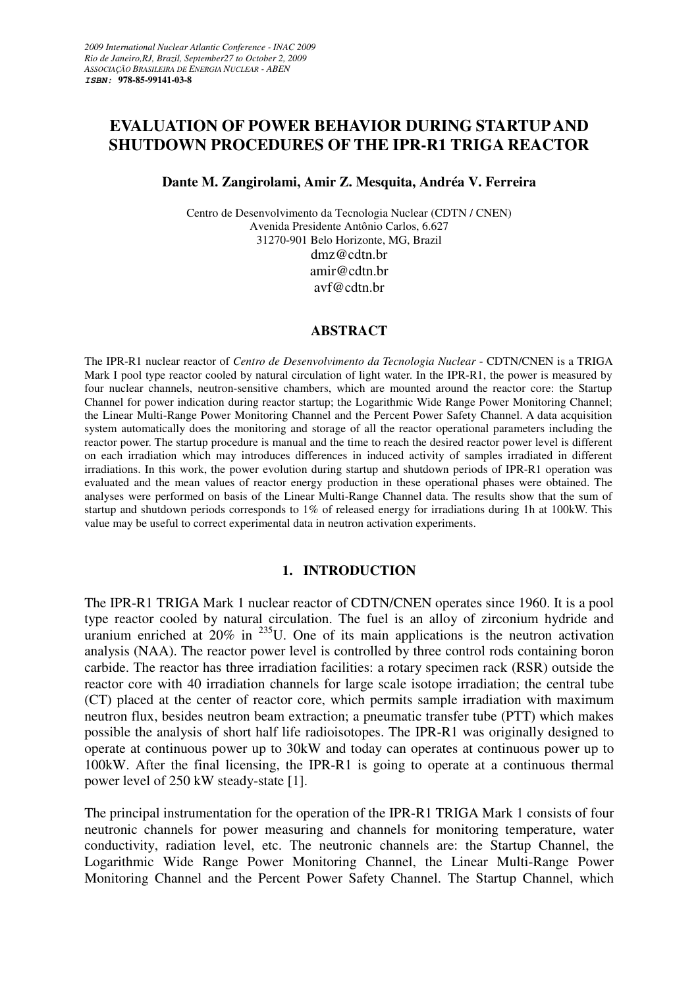# **EVALUATION OF POWER BEHAVIOR DURING STARTUP AND SHUTDOWN PROCEDURES OF THE IPR-R1 TRIGA REACTOR**

## **Dante M. Zangirolami, Amir Z. Mesquita, Andréa V. Ferreira**

Centro de Desenvolvimento da Tecnologia Nuclear (CDTN / CNEN) Avenida Presidente Antônio Carlos, 6.627 31270-901 Belo Horizonte, MG, Brazil dmz@cdtn.br amir@cdtn.br avf@cdtn.br

#### **ABSTRACT**

The IPR-R1 nuclear reactor of *Centro de Desenvolvimento da Tecnologia Nuclear* - CDTN/CNEN is a TRIGA Mark I pool type reactor cooled by natural circulation of light water. In the IPR-R1, the power is measured by four nuclear channels, neutron-sensitive chambers, which are mounted around the reactor core: the Startup Channel for power indication during reactor startup; the Logarithmic Wide Range Power Monitoring Channel; the Linear Multi-Range Power Monitoring Channel and the Percent Power Safety Channel. A data acquisition system automatically does the monitoring and storage of all the reactor operational parameters including the reactor power. The startup procedure is manual and the time to reach the desired reactor power level is different on each irradiation which may introduces differences in induced activity of samples irradiated in different irradiations. In this work, the power evolution during startup and shutdown periods of IPR-R1 operation was evaluated and the mean values of reactor energy production in these operational phases were obtained. The analyses were performed on basis of the Linear Multi-Range Channel data. The results show that the sum of startup and shutdown periods corresponds to 1% of released energy for irradiations during 1h at 100kW. This value may be useful to correct experimental data in neutron activation experiments.

# **1. INTRODUCTION**

The IPR-R1 TRIGA Mark 1 nuclear reactor of CDTN/CNEN operates since 1960. It is a pool type reactor cooled by natural circulation. The fuel is an alloy of zirconium hydride and uranium enriched at  $20\%$  in  $^{235}$ U. One of its main applications is the neutron activation analysis (NAA). The reactor power level is controlled by three control rods containing boron carbide. The reactor has three irradiation facilities: a rotary specimen rack (RSR) outside the reactor core with 40 irradiation channels for large scale isotope irradiation; the central tube (CT) placed at the center of reactor core, which permits sample irradiation with maximum neutron flux, besides neutron beam extraction; a pneumatic transfer tube (PTT) which makes possible the analysis of short half life radioisotopes. The IPR-R1 was originally designed to operate at continuous power up to 30kW and today can operates at continuous power up to 100kW. After the final licensing, the IPR-R1 is going to operate at a continuous thermal power level of 250 kW steady-state [1].

The principal instrumentation for the operation of the IPR-R1 TRIGA Mark 1 consists of four neutronic channels for power measuring and channels for monitoring temperature, water conductivity, radiation level, etc. The neutronic channels are: the Startup Channel, the Logarithmic Wide Range Power Monitoring Channel, the Linear Multi-Range Power Monitoring Channel and the Percent Power Safety Channel. The Startup Channel, which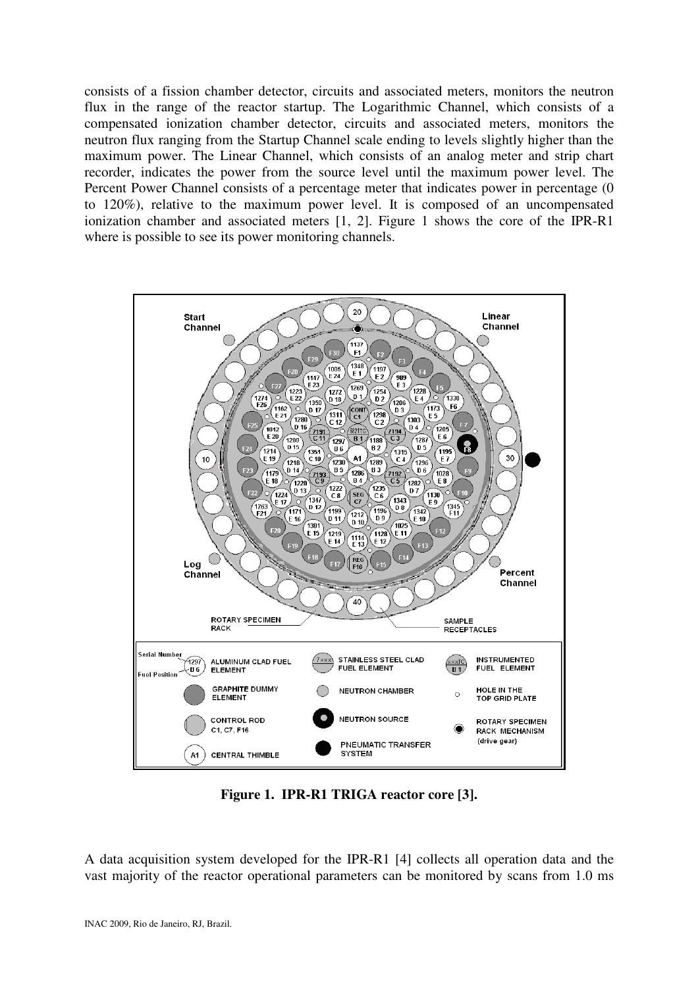consists of a fission chamber detector, circuits and associated meters, monitors the neutron flux in the range of the reactor startup. The Logarithmic Channel, which consists of a compensated ionization chamber detector, circuits and associated meters, monitors the neutron flux ranging from the Startup Channel scale ending to levels slightly higher than the maximum power. The Linear Channel, which consists of an analog meter and strip chart recorder, indicates the power from the source level until the maximum power level. The Percent Power Channel consists of a percentage meter that indicates power in percentage (0 to 120%), relative to the maximum power level. It is composed of an uncompensated ionization chamber and associated meters [1, 2]. Figure 1 shows the core of the IPR-R1 where is possible to see its power monitoring channels.



**Figure 1. IPR-R1 TRIGA reactor core [3].** 

A data acquisition system developed for the IPR-R1 [4] collects all operation data and the vast majority of the reactor operational parameters can be monitored by scans from 1.0 ms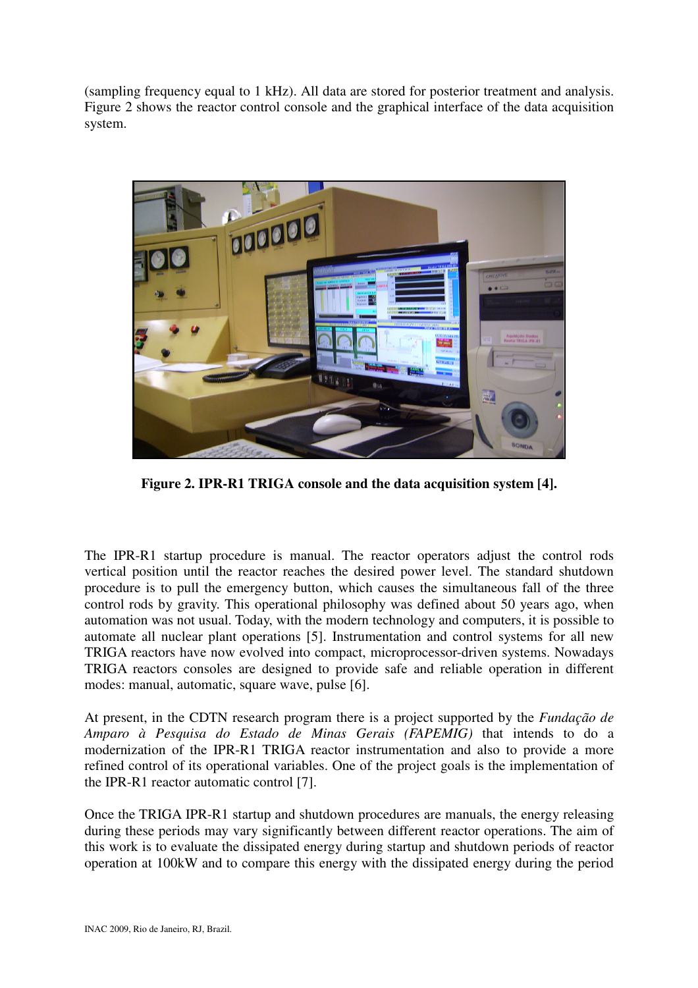(sampling frequency equal to 1 kHz). All data are stored for posterior treatment and analysis. Figure 2 shows the reactor control console and the graphical interface of the data acquisition system.



**Figure 2. IPR-R1 TRIGA console and the data acquisition system [4].** 

The IPR-R1 startup procedure is manual. The reactor operators adjust the control rods vertical position until the reactor reaches the desired power level. The standard shutdown procedure is to pull the emergency button, which causes the simultaneous fall of the three control rods by gravity. This operational philosophy was defined about 50 years ago, when automation was not usual. Today, with the modern technology and computers, it is possible to automate all nuclear plant operations [5]. Instrumentation and control systems for all new TRIGA reactors have now evolved into compact, microprocessor-driven systems. Nowadays TRIGA reactors consoles are designed to provide safe and reliable operation in different modes: manual, automatic, square wave, pulse [6].

At present, in the CDTN research program there is a project supported by the *Fundação de Amparo à Pesquisa do Estado de Minas Gerais (FAPEMIG)* that intends to do a modernization of the IPR-R1 TRIGA reactor instrumentation and also to provide a more refined control of its operational variables. One of the project goals is the implementation of the IPR-R1 reactor automatic control [7].

Once the TRIGA IPR-R1 startup and shutdown procedures are manuals, the energy releasing during these periods may vary significantly between different reactor operations. The aim of this work is to evaluate the dissipated energy during startup and shutdown periods of reactor operation at 100kW and to compare this energy with the dissipated energy during the period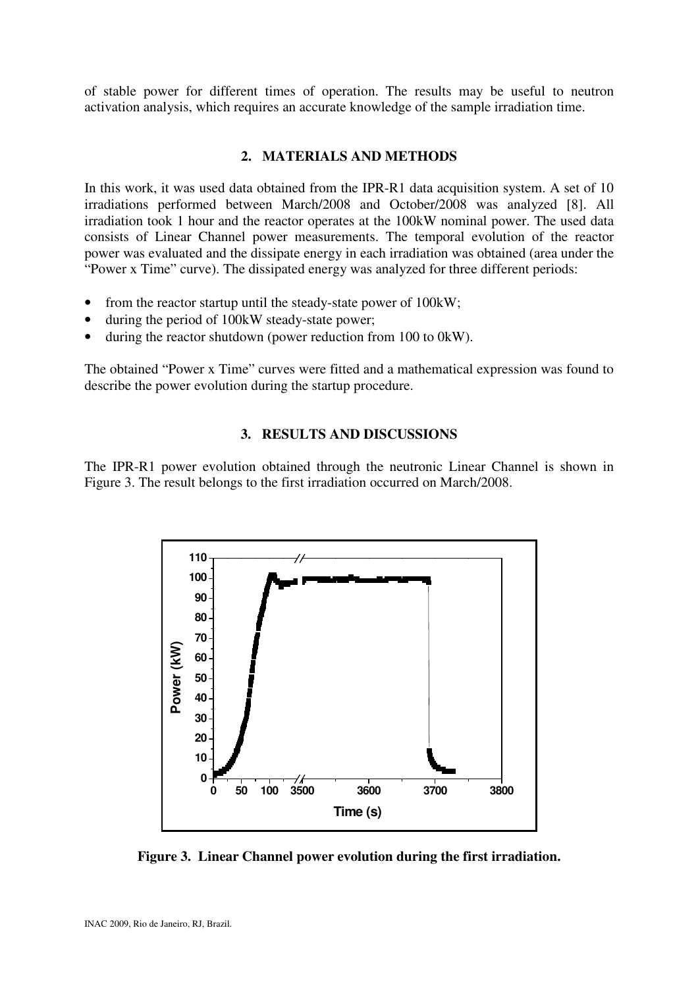of stable power for different times of operation. The results may be useful to neutron activation analysis, which requires an accurate knowledge of the sample irradiation time.

# **2. MATERIALS AND METHODS**

In this work, it was used data obtained from the IPR-R1 data acquisition system. A set of 10 irradiations performed between March/2008 and October/2008 was analyzed [8]. All irradiation took 1 hour and the reactor operates at the 100kW nominal power. The used data consists of Linear Channel power measurements. The temporal evolution of the reactor power was evaluated and the dissipate energy in each irradiation was obtained (area under the "Power x Time" curve). The dissipated energy was analyzed for three different periods:

- from the reactor startup until the steady-state power of 100kW;
- during the period of 100kW steady-state power;
- during the reactor shutdown (power reduction from 100 to 0kW).

The obtained "Power x Time" curves were fitted and a mathematical expression was found to describe the power evolution during the startup procedure.

# **3. RESULTS AND DISCUSSIONS**

The IPR-R1 power evolution obtained through the neutronic Linear Channel is shown in Figure 3. The result belongs to the first irradiation occurred on March/2008.



**Figure 3. Linear Channel power evolution during the first irradiation.**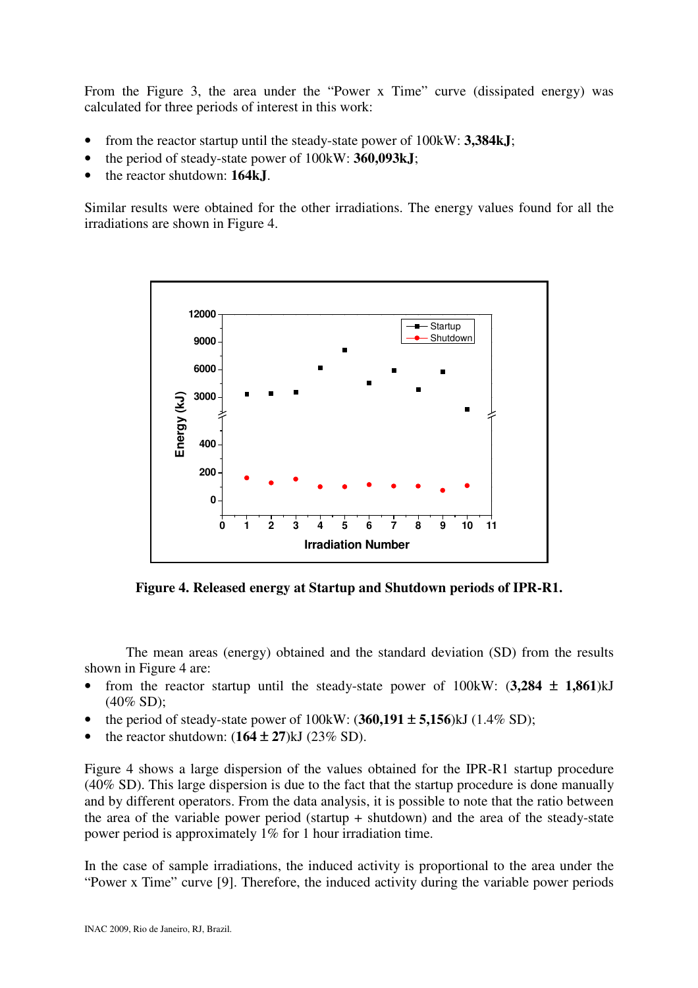From the Figure 3, the area under the "Power x Time" curve (dissipated energy) was calculated for three periods of interest in this work:

- from the reactor startup until the steady-state power of 100kW: **3,384kJ**;
- the period of steady-state power of 100kW: **360,093kJ**;
- the reactor shutdown: **164kJ**.

Similar results were obtained for the other irradiations. The energy values found for all the irradiations are shown in Figure 4.



**Figure 4. Released energy at Startup and Shutdown periods of IPR-R1.** 

The mean areas (energy) obtained and the standard deviation (SD) from the results shown in Figure 4 are:

- from the reactor startup until the steady-state power of 100kW: (**3,284** ± **1,861**)kJ (40% SD);
- the period of steady-state power of 100kW: (**360,191** ± **5,156**)kJ (1.4% SD);
- the reactor shutdown:  $(164 \pm 27)$ kJ  $(23\%$  SD).

Figure 4 shows a large dispersion of the values obtained for the IPR-R1 startup procedure (40% SD). This large dispersion is due to the fact that the startup procedure is done manually and by different operators. From the data analysis, it is possible to note that the ratio between the area of the variable power period (startup + shutdown) and the area of the steady-state power period is approximately 1% for 1 hour irradiation time.

In the case of sample irradiations, the induced activity is proportional to the area under the "Power x Time" curve [9]. Therefore, the induced activity during the variable power periods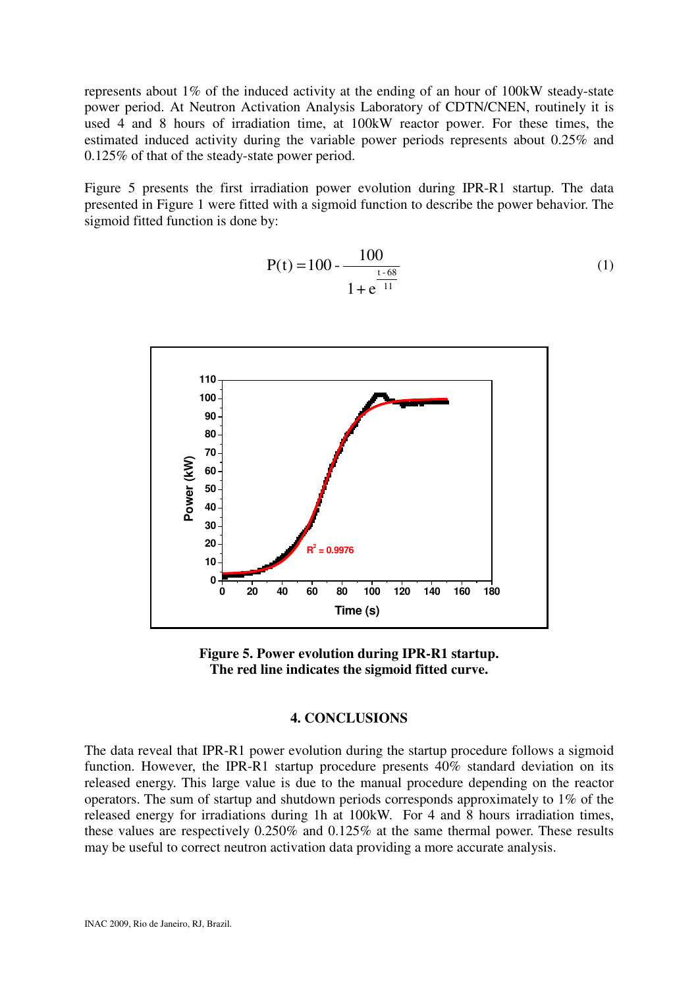represents about 1% of the induced activity at the ending of an hour of 100kW steady-state power period. At Neutron Activation Analysis Laboratory of CDTN/CNEN, routinely it is used 4 and 8 hours of irradiation time, at 100kW reactor power. For these times, the estimated induced activity during the variable power periods represents about 0.25% and 0.125% of that of the steady-state power period.

Figure 5 presents the first irradiation power evolution during IPR-R1 startup. The data presented in Figure 1 were fitted with a sigmoid function to describe the power behavior. The sigmoid fitted function is done by:

$$
P(t) = 100 - \frac{100}{1 + e^{\frac{t - 68}{11}}}
$$
 (1)



**Figure 5. Power evolution during IPR-R1 startup. The red line indicates the sigmoid fitted curve.** 

#### **4. CONCLUSIONS**

The data reveal that IPR-R1 power evolution during the startup procedure follows a sigmoid function. However, the IPR-R1 startup procedure presents 40% standard deviation on its released energy. This large value is due to the manual procedure depending on the reactor operators. The sum of startup and shutdown periods corresponds approximately to 1% of the released energy for irradiations during 1h at 100kW. For 4 and 8 hours irradiation times, these values are respectively 0.250% and 0.125% at the same thermal power. These results may be useful to correct neutron activation data providing a more accurate analysis.